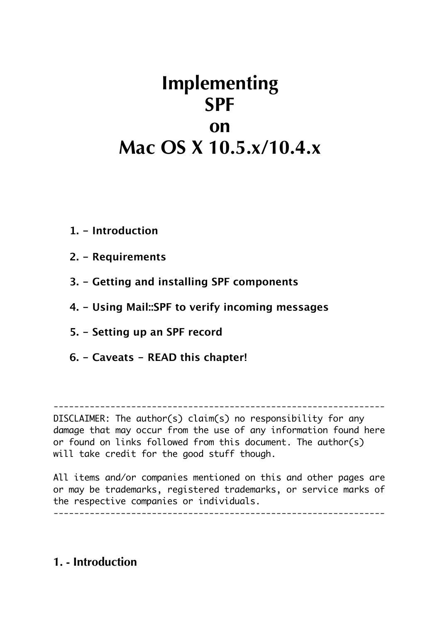# **Implementing SPF on Mac OS X 10.5.x/10.4.x**

- **1. Introduction**
- **2. Requirements**
- **3. Getting and installing SPF components**
- **4. Using Mail::SPF to verify incoming messages**
- **5. Setting up an SPF record**
- **6. Caveats READ this chapter!**

----------------------------------------------------------------

DISCLAIMER: The author(s) claim(s) no responsibility for any damage that may occur from the use of any information found here or found on links followed from this document. The author(s) will take credit for the good stuff though.

All items and/or companies mentioned on this and other pages are or may be trademarks, registered trademarks, or service marks of the respective companies or individuals.

----------------------------------------------------------------

## **1. - Introduction**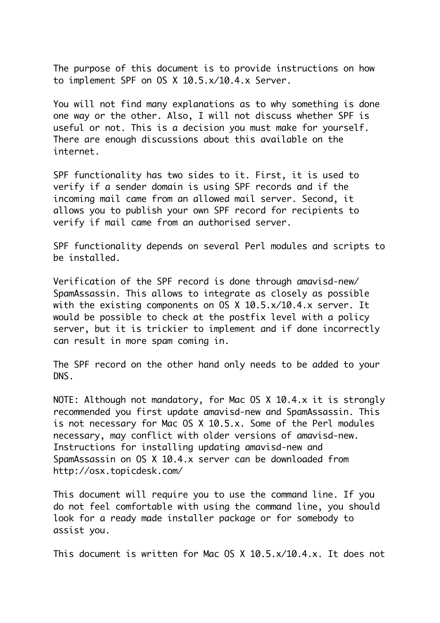The purpose of this document is to provide instructions on how to implement SPF on OS X 10.5.x/10.4.x Server.

You will not find many explanations as to why something is done one way or the other. Also, I will not discuss whether SPF is useful or not. This is a decision you must make for yourself. There are enough discussions about this available on the internet.

SPF functionality has two sides to it. First, it is used to verify if a sender domain is using SPF records and if the incoming mail came from an allowed mail server. Second, it allows you to publish your own SPF record for recipients to verify if mail came from an authorised server.

SPF functionality depends on several Perl modules and scripts to be installed.

Verification of the SPF record is done through amavisd-new/ SpamAssassin. This allows to integrate as closely as possible with the existing components on OS X 10.5.x/10.4.x server. It would be possible to check at the postfix level with a policy server, but it is trickier to implement and if done incorrectly can result in more spam coming in.

The SPF record on the other hand only needs to be added to your DNS.

NOTE: Although not mandatory, for Mac OS X 10.4.x it is strongly recommended you first update amavisd-new and SpamAssassin. This is not necessary for Mac OS X 10.5.x. Some of the Perl modules necessary, may conflict with older versions of amavisd-new. Instructions for installing updating amavisd-new and SpamAssassin on OS X 10.4.x server can be downloaded from http://osx.topicdesk.com/

This document will require you to use the command line. If you do not feel comfortable with using the command line, you should look for a ready made installer package or for somebody to assist you.

This document is written for Mac OS X 10.5.x/10.4.x. It does not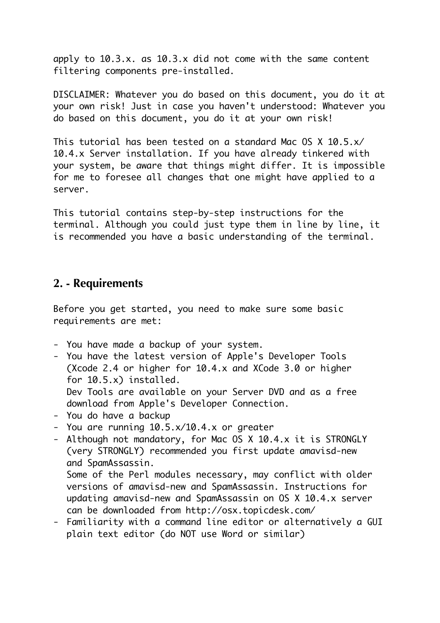apply to 10.3.x. as 10.3.x did not come with the same content filtering components pre-installed.

DISCLAIMER: Whatever you do based on this document, you do it at your own risk! Just in case you haven't understood: Whatever you do based on this document, you do it at your own risk!

This tutorial has been tested on a standard Mac OS X 10.5.x/ 10.4.x Server installation. If you have already tinkered with your system, be aware that things might differ. It is impossible for me to foresee all changes that one might have applied to a server.

This tutorial contains step-by-step instructions for the terminal. Although you could just type them in line by line, it is recommended you have a basic understanding of the terminal.

#### **2. - Requirements**

Before you get started, you need to make sure some basic requirements are met:

- You have made a backup of your system.
- You have the latest version of Apple's Developer Tools (Xcode 2.4 or higher for 10.4.x and XCode 3.0 or higher for 10.5.x) installed. Dev Tools are available on your Server DVD and as a free download from Apple's Developer Connection.
- You do have a backup
- You are running 10.5.x/10.4.x or greater
- Although not mandatory, for Mac OS X 10.4.x it is STRONGLY (very STRONGLY) recommended you first update amavisd-new and SpamAssassin.

Some of the Perl modules necessary, may conflict with older versions of amavisd-new and SpamAssassin. Instructions for updating amavisd-new and SpamAssassin on OS X 10.4.x server can be downloaded from http://osx.topicdesk.com/

- Familiarity with a command line editor or alternatively a GUI plain text editor (do NOT use Word or similar)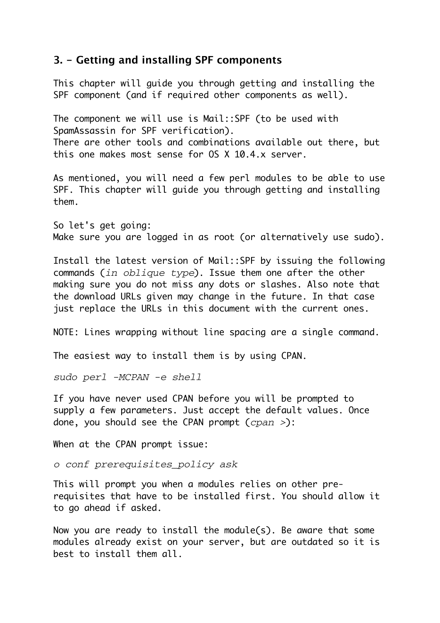#### **3. - Getting and installing SPF components**

This chapter will guide you through getting and installing the SPF component (and if required other components as well).

The component we will use is Mail::SPF (to be used with SpamAssassin for SPF verification). There are other tools and combinations available out there, but this one makes most sense for OS X 10.4.x server.

As mentioned, you will need a few perl modules to be able to use SPF. This chapter will guide you through getting and installing them.

So let's get going: Make sure you are logged in as root (or alternatively use sudo).

Install the latest version of Mail::SPF by issuing the following commands (*in oblique type*). Issue them one after the other making sure you do not miss any dots or slashes. Also note that the download URLs given may change in the future. In that case just replace the URLs in this document with the current ones.

NOTE: Lines wrapping without line spacing are a single command.

The easiest way to install them is by using CPAN.

*sudo perl -MCPAN -e shell*

If you have never used CPAN before you will be prompted to supply a few parameters. Just accept the default values. Once done, you should see the CPAN prompt (*cpan >*):

When at the CPAN prompt issue:

*o conf prerequisites\_policy ask*

This will prompt you when a modules relies on other prerequisites that have to be installed first. You should allow it to go ahead if asked.

Now you are ready to install the module(s). Be aware that some modules already exist on your server, but are outdated so it is best to install them all.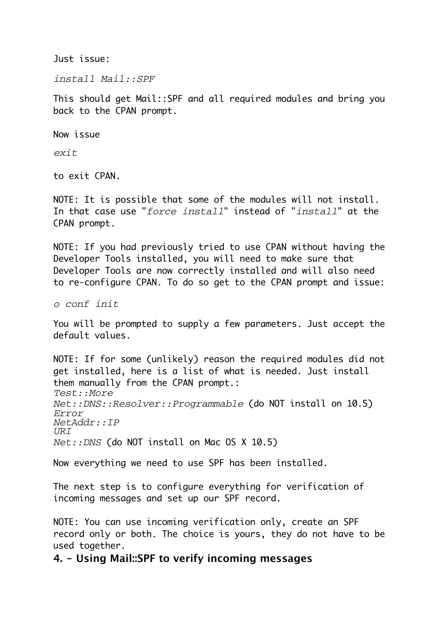Just issue:

*install Mail::SPF*

This should get Mail::SPF and all required modules and bring you back to the CPAN prompt.

Now issue

*exit*

to exit CPAN.

NOTE: It is possible that some of the modules will not install. In that case use "*force install*" instead of "*install*" at the CPAN prompt.

NOTE: If you had previously tried to use CPAN without having the Developer Tools installed, you will need to make sure that Developer Tools are now correctly installed and will also need to re-configure CPAN. To do so get to the CPAN prompt and issue:

*o conf init*

You will be prompted to supply a few parameters. Just accept the default values.

NOTE: If for some (unlikely) reason the required modules did not get installed, here is a list of what is needed. Just install them manually from the CPAN prompt.: *Test::More Net::DNS::Resolver::Programmable* (do NOT install on 10.5) *Error NetAddr::IP URI Net::DNS* (do NOT install on Mac OS X 10.5)

Now everything we need to use SPF has been installed.

The next step is to configure everything for verification of incoming messages and set up our SPF record.

NOTE: You can use incoming verification only, create an SPF record only or both. The choice is yours, they do not have to be used together.

**4. - Using Mail::SPF to verify incoming messages**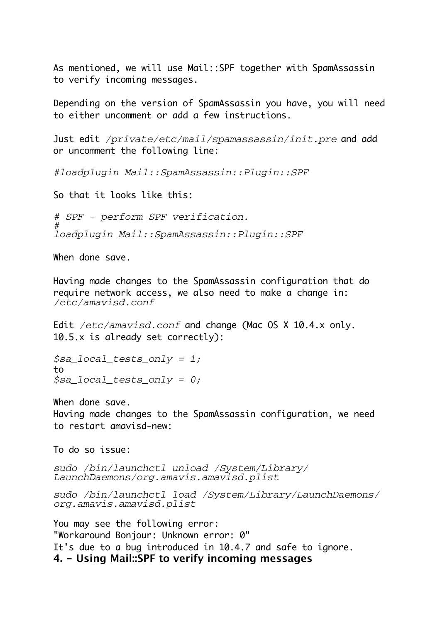As mentioned, we will use Mail::SPF together with SpamAssassin to verify incoming messages.

Depending on the version of SpamAssassin you have, you will need to either uncomment or add a few instructions.

Just edit */private/etc/mail/spamassassin/init.pre* and add or uncomment the following line:

*#loadplugin Mail::SpamAssassin::Plugin::SPF*

So that it looks like this:

*# SPF - perform SPF verification. # loadplugin Mail::SpamAssassin::Plugin::SPF*

When done save.

Having made changes to the SpamAssassin configuration that do require network access, we also need to make a change in: */etc/amavisd.conf*

Edit */etc/amavisd.conf* and change (Mac OS X 10.4.x only. 10.5.x is already set correctly):

*\$sa\_local\_tests\_only = 1;* to *\$sa\_local\_tests\_only = 0;*

When done save. Having made changes to the SpamAssassin configuration, we need to restart amavisd-new:

To do so issue:

*sudo /bin/launchctl unload /System/Library/ LaunchDaemons/org.amavis.amavisd.plist*

*sudo /bin/launchctl load /System/Library/LaunchDaemons/ org.amavis.amavisd.plist*

**4. - Using Mail::SPF to verify incoming messages** You may see the following error: "Workaround Bonjour: Unknown error: 0" It's due to a bug introduced in 10.4.7 and safe to ignore.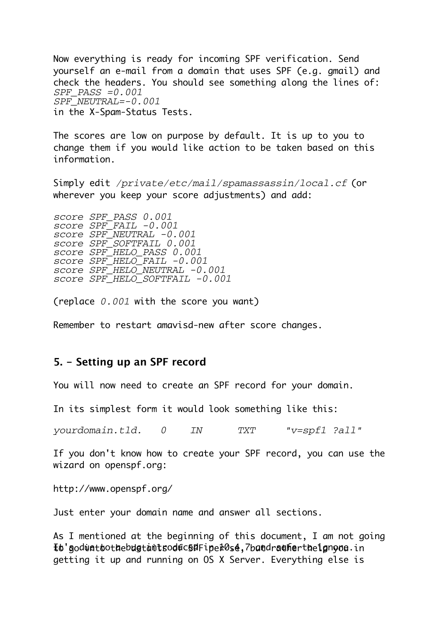Now everything is ready for incoming SPF verification. Send yourself an e-mail from a domain that uses SPF (e.g. gmail) and check the headers. You should see something along the lines of: *SPF\_PASS =0.001 SPF\_NEUTRAL=-0.001* in the X-Spam-Status Tests.

The scores are low on purpose by default. It is up to you to change them if you would like action to be taken based on this information.

Simply edit */private/etc/mail/spamassassin/local.cf* (or wherever you keep your score adjustments) and add:

*score SPF\_PASS 0.001 score SPF\_FAIL -0.001 score SPF\_NEUTRAL -0.001 score SPF\_SOFTFAIL 0.001 score SPF\_HELO\_PASS 0.001 score SPF\_HELO\_FAIL -0.001 score SPF\_HELO\_NEUTRAL -0.001 score SPF\_HELO\_SOFTFAIL -0.001*

(replace *0.001* with the score you want)

Remember to restart amavisd-new after score changes.

#### **5. - Setting up an SPF record**

You will now need to create an SPF record for your domain.

In its simplest form it would look something like this:

*yourdomain.tld. 0 IN TXT "v=spf1 ?all"*

If you don't know how to create your SPF record, you can use the wizard on openspf.org:

http://www.openspf.org/

Just enter your domain name and answer all sections.

 ${\bf \small{I}}$ o'god ${\tt \small{width}}$ othe ${\tt b}$ dg ${\tt t}$ ant ${\tt s}$ od ${\tt f}$ c ${\tt s}$ e ${\tt f}$ o ${\tt s}$ e, $7$ band ${\tt r}$ anther ${\tt t}$ be ${\tt l}$ gn ${\tt y}$ o ${\tt a}.$ in As I mentioned at the beginning of this document, I am not going getting it up and running on OS X Server. Everything else is